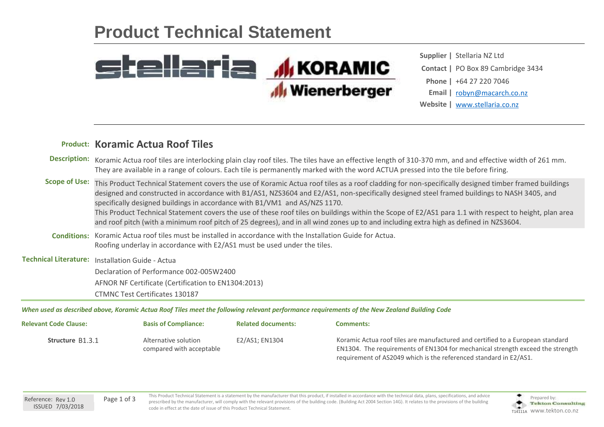## **Product Technical Statement**



**Website |** [www.stellaria.co.nz](http://www.stellaria.co.nz) **Contact |** PO Box 89 Cambridge 3434 **Supplier |** Stellaria NZ Ltd **Phone |** +64 27 220 7046 **Email |** [robyn@macarch.co.nz](mailto:robyn@macarch.co.nz)

## **Koramic Actua Roof Tiles Product:**

|                    | Description: Koramic Actua roof tiles are interlocking plain clay roof tiles. The tiles have an effective length of 310-370 mm, and and effective width of 261 mm.<br>They are available in a range of colours. Each tile is permanently marked with the word ACTUA pressed into the tile before firing.                                                                                                                                                                                                                                                 |  |  |  |
|--------------------|----------------------------------------------------------------------------------------------------------------------------------------------------------------------------------------------------------------------------------------------------------------------------------------------------------------------------------------------------------------------------------------------------------------------------------------------------------------------------------------------------------------------------------------------------------|--|--|--|
|                    | Scope of Use: This Product Technical Statement covers the use of Koramic Actua roof tiles as a roof cladding for non-specifically designed timber framed buildings<br>designed and constructed in accordance with B1/AS1, NZS3604 and E2/AS1, non-specifically designed steel framed buildings to NASH 3405, and<br>specifically designed buildings in accordance with B1/VM1 and AS/NZS 1170.<br>This Product Technical Statement covers the use of these roof tiles on buildings within the Scope of E2/AS1 para 1.1 with respect to height, plan area |  |  |  |
|                    | and roof pitch (with a minimum roof pitch of 25 degrees), and in all wind zones up to and including extra high as defined in NZS3604.                                                                                                                                                                                                                                                                                                                                                                                                                    |  |  |  |
| <b>Conditions:</b> | Koramic Actua roof tiles must be installed in accordance with the Installation Guide for Actua.<br>Roofing underlay in accordance with E2/AS1 must be used under the tiles.                                                                                                                                                                                                                                                                                                                                                                              |  |  |  |
|                    | Technical Literature: Installation Guide - Actua                                                                                                                                                                                                                                                                                                                                                                                                                                                                                                         |  |  |  |
|                    | Declaration of Performance 002-005W2400                                                                                                                                                                                                                                                                                                                                                                                                                                                                                                                  |  |  |  |
|                    | AFNOR NF Certificate (Certification to EN1304:2013)                                                                                                                                                                                                                                                                                                                                                                                                                                                                                                      |  |  |  |
|                    | <b>CTMNC Test Certificates 130187</b>                                                                                                                                                                                                                                                                                                                                                                                                                                                                                                                    |  |  |  |

*When used as described above, Koramic Actua Roof Tiles meet the following relevant performance requirements of the New Zealand Building Code*

| <b>Relevant Code Clause:</b> | <b>Basis of Compliance:</b>                      | <b>Related documents:</b> | <b>Comments:</b>                                                                                                                                                                                                                      |
|------------------------------|--------------------------------------------------|---------------------------|---------------------------------------------------------------------------------------------------------------------------------------------------------------------------------------------------------------------------------------|
| <b>Structure B1.3.1</b>      | Alternative solution<br>compared with acceptable | E2/AS1: EN1304            | Koramic Actua roof tiles are manufactured and certified to a European standard<br>EN1304. The requirements of EN1304 for mechanical strength exceed the strength<br>requirement of AS2049 which is the referenced standard in E2/AS1. |

This Product Technical Statement is a statement by the manufacturer that this product, if installed in accordance with the technical data, plans, specifications, and advice Page 1 of 3 Prepared by: Page 1 of 3 Prepared by: Pepared by: Prepared by: Prepared by: Prepared by: Prepared by: Prepared by: Prepared by: Prepared by: Prepared by: Prepared by: Prepared by: Prepared by: Prepared by: Prep code in effect at the date of issue of this Product Technical Statement.

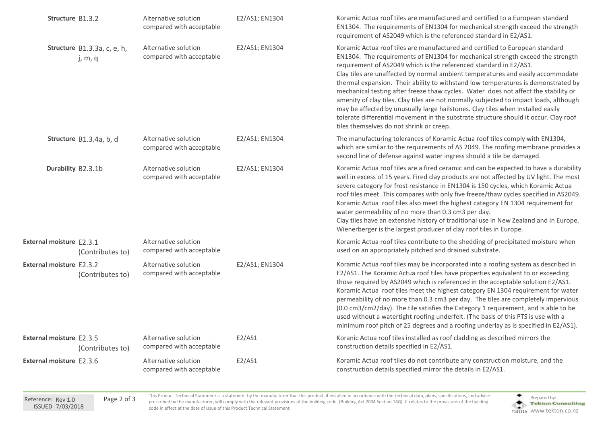| Structure B1.3.2                |                                        | Alternative solution<br>compared with acceptable | E2/AS1; EN1304 | Koramic Actua roof tiles are manufactured and certified to a European standard<br>EN1304. The requirements of EN1304 for mechanical strength exceed the strength<br>requirement of AS2049 which is the referenced standard in E2/AS1.                                                                                                                                                                                                                                                                                                                                                                                                                                                                                                                                                                               |
|---------------------------------|----------------------------------------|--------------------------------------------------|----------------|---------------------------------------------------------------------------------------------------------------------------------------------------------------------------------------------------------------------------------------------------------------------------------------------------------------------------------------------------------------------------------------------------------------------------------------------------------------------------------------------------------------------------------------------------------------------------------------------------------------------------------------------------------------------------------------------------------------------------------------------------------------------------------------------------------------------|
|                                 | Structure B1.3.3a, c, e, h,<br>j, m, q | Alternative solution<br>compared with acceptable | E2/AS1; EN1304 | Koramic Actua roof tiles are manufactured and certified to European standard<br>EN1304. The requirements of EN1304 for mechanical strength exceed the strength<br>requirement of AS2049 which is the referenced standard in E2/AS1.<br>Clay tiles are unaffected by normal ambient temperatures and easily accommodate<br>thermal expansion. Their ability to withstand low temperatures is demonstrated by<br>mechanical testing after freeze thaw cycles. Water does not affect the stability or<br>amenity of clay tiles. Clay tiles are not normally subjected to impact loads, although<br>may be affected by unusually large hailstones. Clay tiles when installed easily<br>tolerate differential movement in the substrate structure should it occur. Clay roof<br>tiles themselves do not shrink or creep. |
|                                 | Structure B1.3.4a, b, d                | Alternative solution<br>compared with acceptable | E2/AS1; EN1304 | The manufacturing tolerances of Koramic Actua roof tiles comply with EN1304,<br>which are similar to the requirements of AS 2049. The roofing membrane provides a<br>second line of defense against water ingress should a tile be damaged.                                                                                                                                                                                                                                                                                                                                                                                                                                                                                                                                                                         |
| Durability B2.3.1b              |                                        | Alternative solution<br>compared with acceptable | E2/AS1; EN1304 | Koramic Actua roof tiles are a fired ceramic and can be expected to have a durability<br>well in excess of 15 years. Fired clay products are not affected by UV light. The most<br>severe category for frost resistance in EN1304 is 150 cycles, which Koramic Actua<br>roof tiles meet. This compares with only five freeze/thaw cycles specified in AS2049.<br>Koramic Actua roof tiles also meet the highest category EN 1304 requirement for<br>water permeability of no more than 0.3 cm3 per day.<br>Clay tiles have an extensive history of traditional use in New Zealand and in Europe.<br>Wienerberger is the largest producer of clay roof tiles in Europe.                                                                                                                                              |
| External moisture E2.3.1        | (Contributes to)                       | Alternative solution<br>compared with acceptable |                | Koramic Actua roof tiles contribute to the shedding of precipitated moisture when<br>used on an appropriately pitched and drained substrate.                                                                                                                                                                                                                                                                                                                                                                                                                                                                                                                                                                                                                                                                        |
| <b>External moisture F2.3.2</b> | (Contributes to)                       | Alternative solution<br>compared with acceptable | E2/AS1; EN1304 | Koramic Actua roof tiles may be incorporated into a roofing system as described in<br>E2/AS1. The Koramic Actua roof tiles have properties equivalent to or exceeding<br>those required by AS2049 which is referenced in the acceptable solution E2/AS1.<br>Koramic Actua roof tiles meet the highest category EN 1304 requirement for water<br>permeability of no more than 0.3 cm3 per day. The tiles are completely impervious<br>(0.0 cm3/cm2/day). The tile satisfies the Category 1 requirement, and is able to be<br>used without a watertight roofing underfelt. (The basis of this PTS is use with a<br>minimum roof pitch of 25 degrees and a roofing underlay as is specified in E2/AS1).                                                                                                                |
| External moisture E2.3.5        | (Contributes to)                       | Alternative solution<br>compared with acceptable | E2/AS1         | Koranic Actua roof tiles installed as roof cladding as described mirrors the<br>construction details specified in E2/AS1.                                                                                                                                                                                                                                                                                                                                                                                                                                                                                                                                                                                                                                                                                           |
| External moisture E2.3.6        |                                        | Alternative solution<br>compared with acceptable | E2/AS1         | Koramic Actua roof tiles do not contribute any construction moisture, and the<br>construction details specified mirror the details in E2/AS1.                                                                                                                                                                                                                                                                                                                                                                                                                                                                                                                                                                                                                                                                       |
|                                 |                                        |                                                  |                |                                                                                                                                                                                                                                                                                                                                                                                                                                                                                                                                                                                                                                                                                                                                                                                                                     |

This Product Technical Statement is a statement by the manufacturer that this product, if installed in accordance with the technical data, plans, specifications, and advice Page 2 of 3 Prepared by: Page 2 of 3 Prepared by: Prepared by: Page 2 of 3 Prepared by: Prepared by: Prepared by: Prepared by: Prepared by: Prepared by: Prepared by: Prepared by: Prepared by: Prepared by: Prepared by: Prep code in effect at the date of issue of this Product Technical Statement.